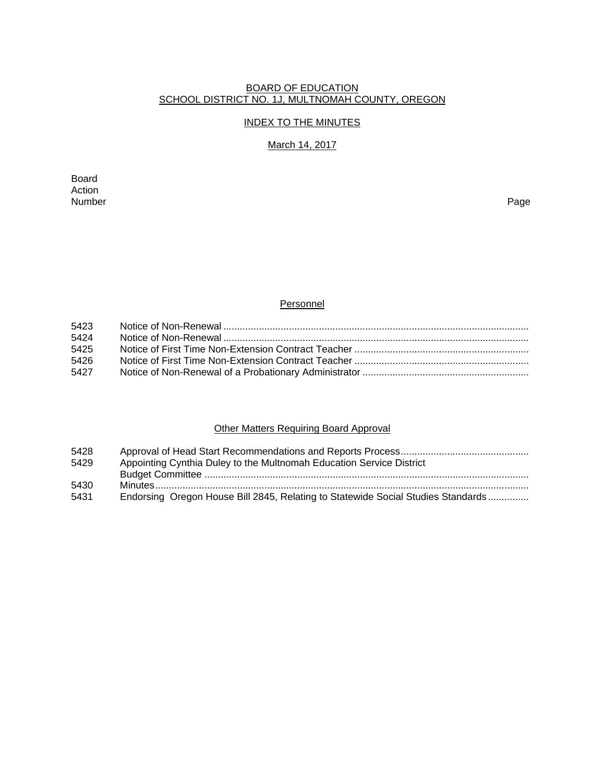#### BOARD OF EDUCATION SCHOOL DISTRICT NO. 1J, MULTNOMAH COUNTY, OREGON

### INDEX TO THE MINUTES

# March 14, 2017

Board Action<br>Number Number Page

### **Personnel**

| 5423 |  |
|------|--|
| 5424 |  |
| 5425 |  |
| 5426 |  |
| 5427 |  |
|      |  |

# **Other Matters Requiring Board Approval**

| 5428 |                                                                                  |
|------|----------------------------------------------------------------------------------|
| 5429 | Appointing Cynthia Duley to the Multnomah Education Service District             |
|      |                                                                                  |
| 5430 |                                                                                  |
| 5431 | Endorsing Oregon House Bill 2845, Relating to Statewide Social Studies Standards |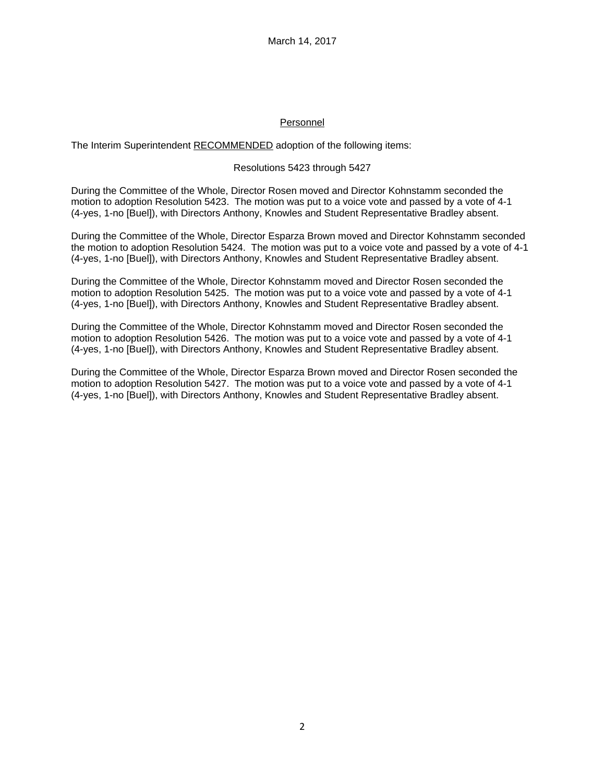### Personnel

The Interim Superintendent RECOMMENDED adoption of the following items:

### Resolutions 5423 through 5427

During the Committee of the Whole, Director Rosen moved and Director Kohnstamm seconded the motion to adoption Resolution 5423. The motion was put to a voice vote and passed by a vote of 4-1 (4-yes, 1-no [Buel]), with Directors Anthony, Knowles and Student Representative Bradley absent.

During the Committee of the Whole, Director Esparza Brown moved and Director Kohnstamm seconded the motion to adoption Resolution 5424. The motion was put to a voice vote and passed by a vote of 4-1 (4-yes, 1-no [Buel]), with Directors Anthony, Knowles and Student Representative Bradley absent.

During the Committee of the Whole, Director Kohnstamm moved and Director Rosen seconded the motion to adoption Resolution 5425. The motion was put to a voice vote and passed by a vote of 4-1 (4-yes, 1-no [Buel]), with Directors Anthony, Knowles and Student Representative Bradley absent.

During the Committee of the Whole, Director Kohnstamm moved and Director Rosen seconded the motion to adoption Resolution 5426. The motion was put to a voice vote and passed by a vote of 4-1 (4-yes, 1-no [Buel]), with Directors Anthony, Knowles and Student Representative Bradley absent.

During the Committee of the Whole, Director Esparza Brown moved and Director Rosen seconded the motion to adoption Resolution 5427. The motion was put to a voice vote and passed by a vote of 4-1 (4-yes, 1-no [Buel]), with Directors Anthony, Knowles and Student Representative Bradley absent.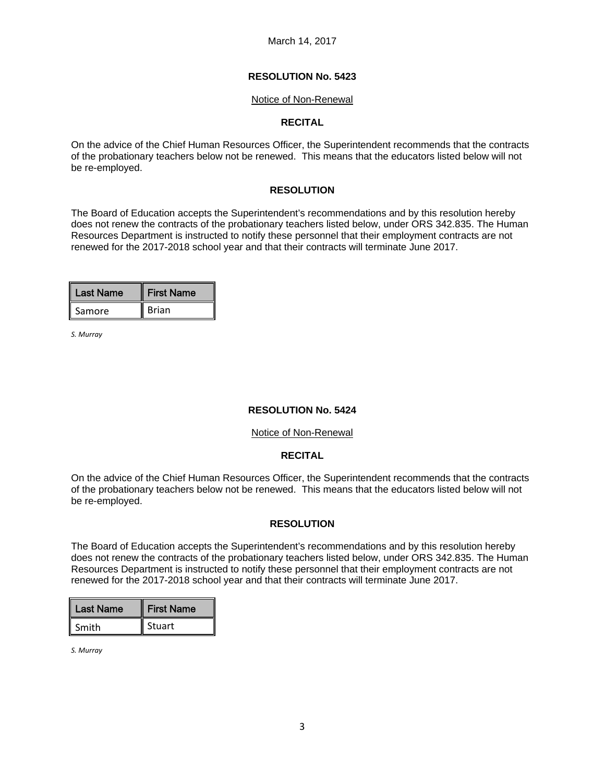#### Notice of Non-Renewal

### **RECITAL**

On the advice of the Chief Human Resources Officer, the Superintendent recommends that the contracts of the probationary teachers below not be renewed. This means that the educators listed below will not be re-employed.

### **RESOLUTION**

The Board of Education accepts the Superintendent's recommendations and by this resolution hereby does not renew the contracts of the probationary teachers listed below, under ORS 342.835. The Human Resources Department is instructed to notify these personnel that their employment contracts are not renewed for the 2017-2018 school year and that their contracts will terminate June 2017.

| Last Name | <b>First Name</b> |
|-----------|-------------------|
| Samore    | <b>Brian</b>      |

*S. Murray*

### **RESOLUTION No. 5424**

#### Notice of Non-Renewal

### **RECITAL**

On the advice of the Chief Human Resources Officer, the Superintendent recommends that the contracts of the probationary teachers below not be renewed. This means that the educators listed below will not be re-employed.

### **RESOLUTION**

The Board of Education accepts the Superintendent's recommendations and by this resolution hereby does not renew the contracts of the probationary teachers listed below, under ORS 342.835. The Human Resources Department is instructed to notify these personnel that their employment contracts are not renewed for the 2017-2018 school year and that their contracts will terminate June 2017.

| <b>Last Name</b> | <b>First Name</b> |
|------------------|-------------------|
| Smith            | Stuart            |

*S. Murray*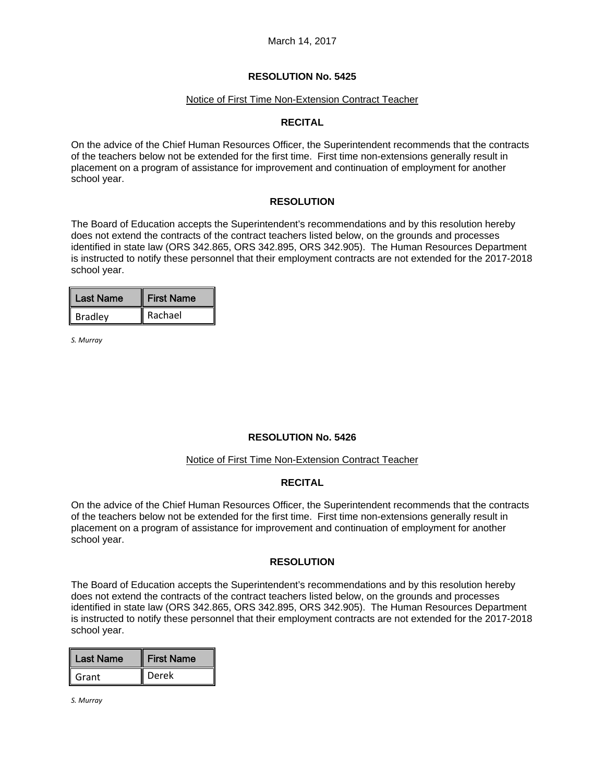#### Notice of First Time Non-Extension Contract Teacher

### **RECITAL**

On the advice of the Chief Human Resources Officer, the Superintendent recommends that the contracts of the teachers below not be extended for the first time. First time non-extensions generally result in placement on a program of assistance for improvement and continuation of employment for another school year.

### **RESOLUTION**

The Board of Education accepts the Superintendent's recommendations and by this resolution hereby does not extend the contracts of the contract teachers listed below, on the grounds and processes identified in state law (ORS 342.865, ORS 342.895, ORS 342.905). The Human Resources Department is instructed to notify these personnel that their employment contracts are not extended for the 2017-2018 school year.

| Last Name      | <b>First Name</b> |
|----------------|-------------------|
| <b>Bradley</b> | Rachael           |

*S. Murray*

### **RESOLUTION No. 5426**

#### Notice of First Time Non-Extension Contract Teacher

#### **RECITAL**

On the advice of the Chief Human Resources Officer, the Superintendent recommends that the contracts of the teachers below not be extended for the first time. First time non-extensions generally result in placement on a program of assistance for improvement and continuation of employment for another school year.

#### **RESOLUTION**

The Board of Education accepts the Superintendent's recommendations and by this resolution hereby does not extend the contracts of the contract teachers listed below, on the grounds and processes identified in state law (ORS 342.865, ORS 342.895, ORS 342.905). The Human Resources Department is instructed to notify these personnel that their employment contracts are not extended for the 2017-2018 school year.

| <b>Last Name</b> | <b>First Name</b> |
|------------------|-------------------|
| Grant            | Derek             |

*S. Murray*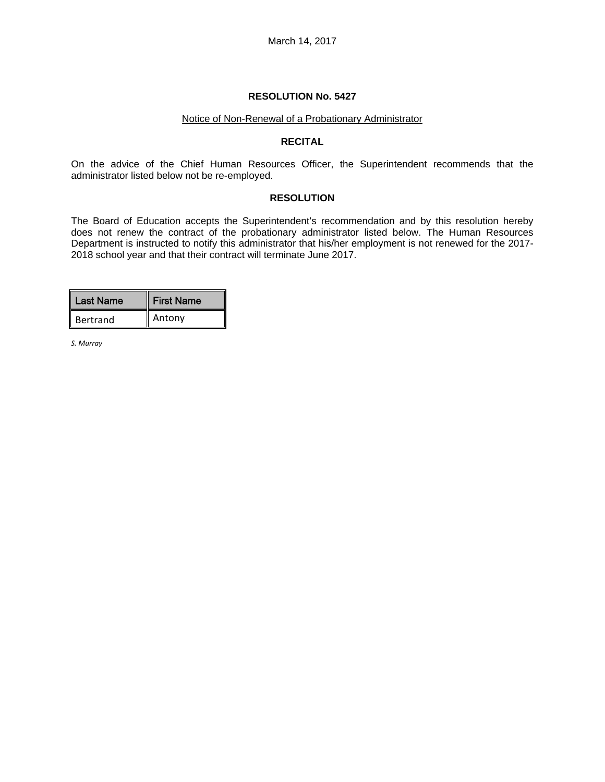#### Notice of Non-Renewal of a Probationary Administrator

#### **RECITAL**

On the advice of the Chief Human Resources Officer, the Superintendent recommends that the administrator listed below not be re-employed.

#### **RESOLUTION**

The Board of Education accepts the Superintendent's recommendation and by this resolution hereby does not renew the contract of the probationary administrator listed below. The Human Resources Department is instructed to notify this administrator that his/her employment is not renewed for the 2017- 2018 school year and that their contract will terminate June 2017.

| Last Name | <b>First Name</b> |
|-----------|-------------------|
| Bertrand  | Antony            |

*S. Murray*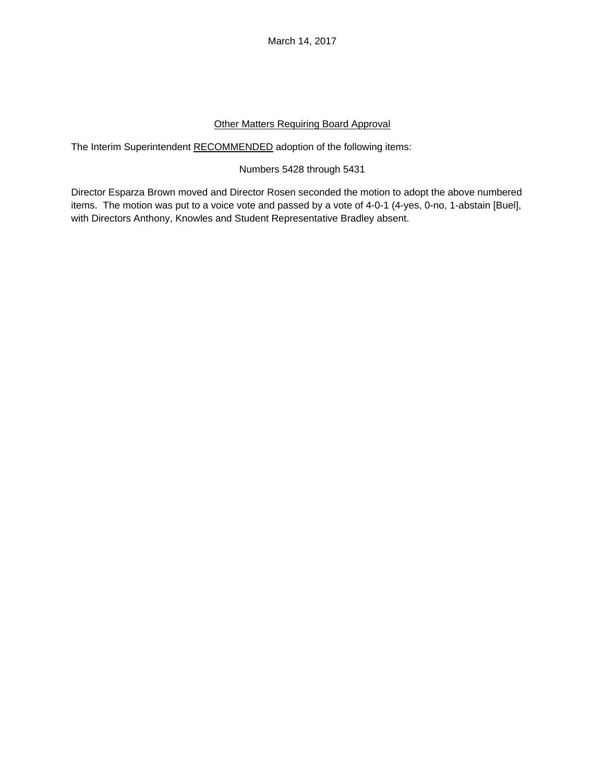March 14, 2017

# Other Matters Requiring Board Approval

The Interim Superintendent RECOMMENDED adoption of the following items:

# Numbers 5428 through 5431

Director Esparza Brown moved and Director Rosen seconded the motion to adopt the above numbered items. The motion was put to a voice vote and passed by a vote of 4-0-1 (4-yes, 0-no, 1-abstain [Buel], with Directors Anthony, Knowles and Student Representative Bradley absent.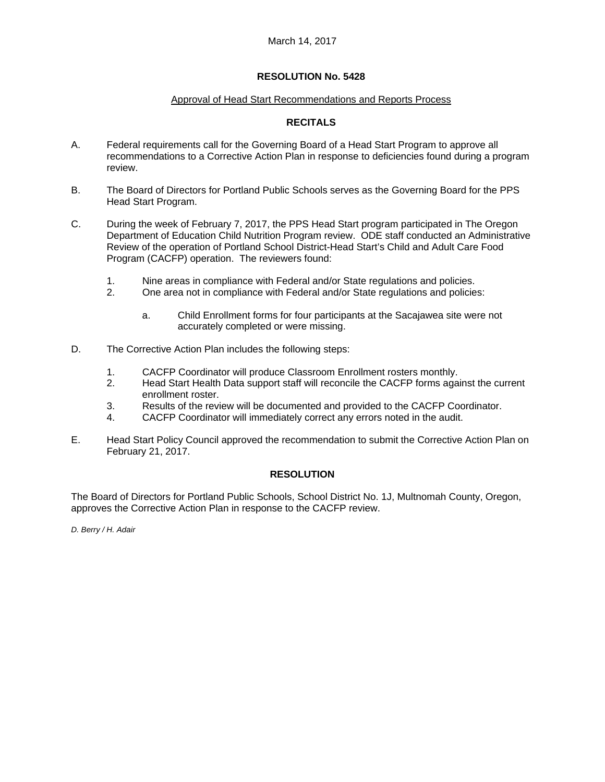### Approval of Head Start Recommendations and Reports Process

### **RECITALS**

- A. Federal requirements call for the Governing Board of a Head Start Program to approve all recommendations to a Corrective Action Plan in response to deficiencies found during a program review.
- B. The Board of Directors for Portland Public Schools serves as the Governing Board for the PPS Head Start Program.
- C. During the week of February 7, 2017, the PPS Head Start program participated in The Oregon Department of Education Child Nutrition Program review. ODE staff conducted an Administrative Review of the operation of Portland School District-Head Start's Child and Adult Care Food Program (CACFP) operation. The reviewers found:
	- 1. Nine areas in compliance with Federal and/or State regulations and policies.
	- 2. One area not in compliance with Federal and/or State regulations and policies:
		- a. Child Enrollment forms for four participants at the Sacajawea site were not accurately completed or were missing.
- D. The Corrective Action Plan includes the following steps:
	- 1. CACFP Coordinator will produce Classroom Enrollment rosters monthly.
	- 2. Head Start Health Data support staff will reconcile the CACFP forms against the current enrollment roster.
	- 3. Results of the review will be documented and provided to the CACFP Coordinator.
	- 4. CACFP Coordinator will immediately correct any errors noted in the audit.
- E. Head Start Policy Council approved the recommendation to submit the Corrective Action Plan on February 21, 2017.

#### **RESOLUTION**

The Board of Directors for Portland Public Schools, School District No. 1J, Multnomah County, Oregon, approves the Corrective Action Plan in response to the CACFP review.

*D. Berry / H. Adair*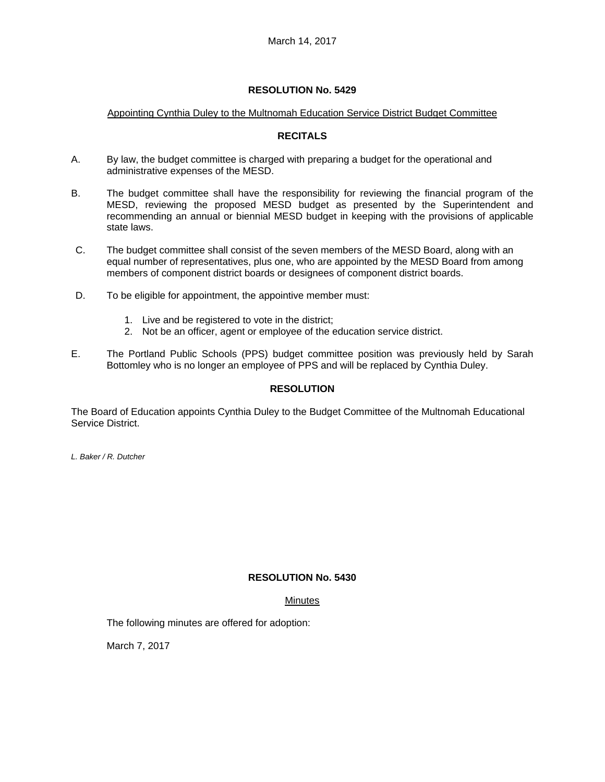### Appointing Cynthia Duley to the Multnomah Education Service District Budget Committee

### **RECITALS**

- A. By law, the budget committee is charged with preparing a budget for the operational and administrative expenses of the MESD.
- B. The budget committee shall have the responsibility for reviewing the financial program of the MESD, reviewing the proposed MESD budget as presented by the Superintendent and recommending an annual or biennial MESD budget in keeping with the provisions of applicable state laws.
- C. The budget committee shall consist of the seven members of the MESD Board, along with an equal number of representatives, plus one, who are appointed by the MESD Board from among members of component district boards or designees of component district boards.
- D. To be eligible for appointment, the appointive member must:
	- 1. Live and be registered to vote in the district;
	- 2. Not be an officer, agent or employee of the education service district.
- E. The Portland Public Schools (PPS) budget committee position was previously held by Sarah Bottomley who is no longer an employee of PPS and will be replaced by Cynthia Duley.

### **RESOLUTION**

The Board of Education appoints Cynthia Duley to the Budget Committee of the Multnomah Educational Service District.

*L. Baker / R. Dutcher* 

### **RESOLUTION No. 5430**

### **Minutes**

The following minutes are offered for adoption:

March 7, 2017